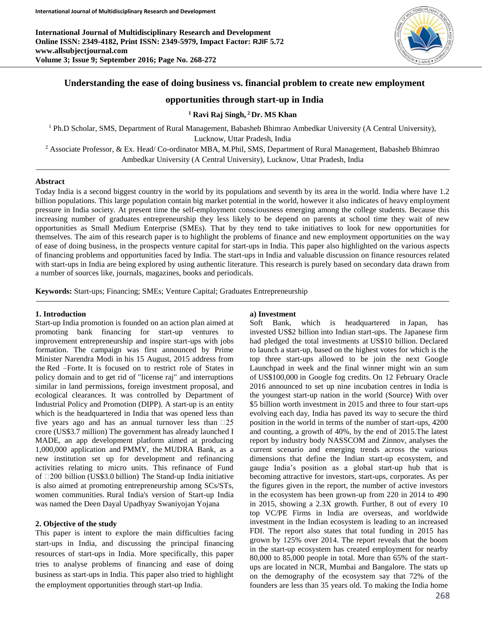**International Journal of Multidisciplinary Research and Development Online ISSN: 2349-4182, Print ISSN: 2349-5979, Impact Factor: RJIF 5.72 www.allsubjectjournal.com Volume 3; Issue 9; September 2016; Page No. 268-272**



# **Understanding the ease of doing business vs. financial problem to create new employment**

# **opportunities through start-up in India**

**<sup>1</sup> Ravi Raj Singh, <sup>2</sup>Dr. MS Khan**

<sup>1</sup> Ph.D Scholar, SMS, Department of Rural Management, Babasheb Bhimrao Ambedkar University (A Central University),

Lucknow, Uttar Pradesh, India

<sup>2</sup> Associate Professor, & Ex. Head/ Co-ordinator MBA, M.Phil, SMS, Department of Rural Management, Babasheb Bhimrao Ambedkar University (A Central University), Lucknow, Uttar Pradesh, India

## **Abstract**

Today India is a second biggest country in the world by its populations and seventh by its area in the world. India where have 1.2 billion populations. This large population contain big market potential in the world, however it also indicates of heavy employment pressure in India society. At present time the self-employment consciousness emerging among the college students. Because this increasing number of graduates entrepreneurship they less likely to be depend on parents at school time they wait of new opportunities as Small Medium Enterprise (SMEs). That by they tend to take initiatives to look for new opportunities for themselves. The aim of this research paper is to highlight the problems of finance and new employment opportunities on the way of ease of doing business, in the prospects venture capital for start-ups in India. This paper also highlighted on the various aspects of financing problems and opportunities faced by India. The start-ups in India and valuable discussion on finance resources related with start-ups in India are being explored by using authentic literature. This research is purely based on secondary data drawn from a number of sources like, journals, magazines, books and periodicals.

**Keywords:** Start-ups; Financing; SMEs; Venture Capital; Graduates Entrepreneurship

### **1. Introduction**

Start-up India promotion is founded on an action plan aimed at promoting bank financing for start-up ventures to improvement entrepreneurship and inspire start-ups with jobs formation. The campaign was first announced by Prime Minister Narendra Modi in his 15 August, 2015 address from the Red –Forte. It is focused on to restrict role of States in policy domain and to get rid of "license raj" and interruptions similar in land permissions, foreign investment proposal, and ecological clearances. It was controlled by Department of Industrial Policy and Promotion (DIPP). A start-up is an entity which is the headquartered in India that was opened less than five years ago and has an annual turnover less than  $\Box$ 25 crore (US\$3.7 million) The government has already launched I MADE, an app development platform aimed at producing 1,000,000 application and PMMY, the MUDRA Bank, as a new institution set up for development and refinancing activities relating to micro units. This refinance of Fund of  $\Box$ 200 billion (US\$3.0 billion) The Stand-up India initiative is also aimed at promoting entrepreneurship among SCs/STs, women communities. Rural India's version of Start-up India was named the Deen Dayal Upadhyay Swaniyojan Yojana

## **2. Objective of the study**

This paper is intent to explore the main difficulties facing start-ups in India, and discussing the principal financing resources of start-ups in India. More specifically, this paper tries to analyse problems of financing and ease of doing business as start-ups in India. This paper also tried to highlight the employment opportunities through start-up India.

### **a) Investment**

Soft Bank, which is headquartered in Japan, has invested US\$2 billion into Indian start-ups. The Japanese firm had pledged the total investments at US\$10 billion. Declared to launch a start-up, based on the highest votes for which is the top three start-ups allowed to be join the next Google Launchpad in week and the final winner might win an sum of US\$100,000 in Google fog credits. On 12 February Oracle 2016 announced to set up nine incubation centres in India is the youngest start-up nation in the world (Source) With over \$5 billion worth investment in 2015 and three to four start-ups evolving each day, India has paved its way to secure the third position in the world in terms of the number of start-ups, 4200 and counting, a growth of 40%, by the end of 2015.The latest report by industry body NASSCOM and Zinnov, analyses the current scenario and emerging trends across the various dimensions that define the Indian start-up ecosystem, and gauge India's position as a global start-up hub that is becoming attractive for investors, start-ups, corporates. As per the figures given in the report, the number of active investors in the ecosystem has been grown-up from 220 in 2014 to 490 in 2015, showing a 2.3X growth. Further, 8 out of every 10 top VC/PE Firms in India are overseas, and worldwide investment in the Indian ecosystem is leading to an increased FDI. The report also states that total funding in 2015 has grown by 125% over 2014. The report reveals that the boom in the start-up ecosystem has created employment for nearby 80,000 to 85,000 people in total. More than 65% of the startups are located in NCR, Mumbai and Bangalore. The stats up on the demography of the ecosystem say that 72% of the founders are less than 35 years old. To making the India home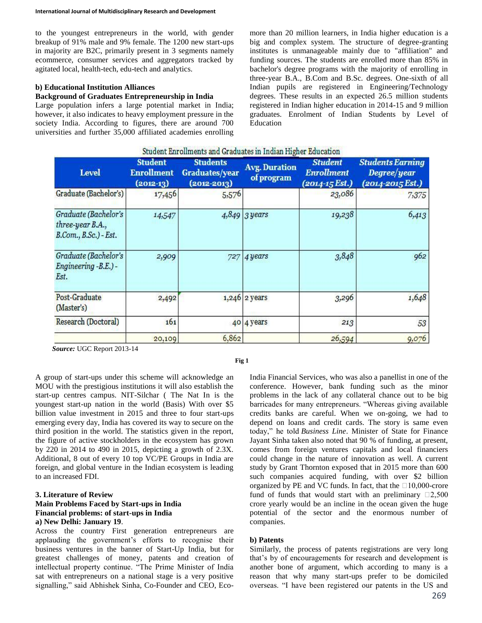to the youngest entrepreneurs in the world, with gender breakup of 91% male and 9% female. The 1200 new start-ups in majority are B2C, primarily present in 3 segments namely ecommerce, consumer services and aggregators tracked by agitated local, health-tech, edu-tech and analytics.

### **b) Educational Institution Alliances**

## **Background of Graduates Entrepreneurship in India**

Large population infers a large potential market in India; however, it also indicates to heavy employment pressure in the society India. According to figures, there are around 700 universities and further 35,000 affiliated academies enrolling

more than 20 million learners, in India higher education is a big and complex system. The structure of degree-granting institutes is unmanageable mainly due to "affiliation" and funding sources. The students are enrolled more than 85% in bachelor's degree programs with the majority of enrolling in three-year B.A., B.Com and B.Sc. degrees. One-sixth of all Indian pupils are registered in Engineering/Technology degrees. These results in an expected 26.5 million students registered in Indian higher education in 2014-15 and 9 million graduates. Enrolment of Indian Students by Level of Education

| Student Enrollments and Graduates in Indian Higher Education               |                                                    |                                                             |                                    |                                                       |                                                                        |
|----------------------------------------------------------------------------|----------------------------------------------------|-------------------------------------------------------------|------------------------------------|-------------------------------------------------------|------------------------------------------------------------------------|
| <b>Level</b>                                                               | <b>Student</b><br><b>Enrollment</b><br>$(2012-13)$ | <b>Students</b><br><b>Graduates/year</b><br>$(2012 - 2013)$ | <b>Avg. Duration</b><br>of program | <b>Student</b><br><b>Enrollment</b><br>(2014-15 Est.) | <b>Students Earning</b><br>Degree/year<br>$(2014 - 2015 \text{ Est.})$ |
| Graduate (Bachelor's)                                                      | 17,456                                             | 5,576                                                       |                                    | 23,086                                                | 7,375                                                                  |
| Graduate (Bachelor's<br>$three-year B.A.,$<br>$B. Com., B. Sc.$ ) - $Est.$ | 14,547                                             |                                                             | $4,849$ 3 years                    | 19,238                                                | 6,413                                                                  |
| Graduate (Bachelor's<br>Engineering -B.E.) -<br>Est.                       | 2,909                                              | 727                                                         | 4 years                            | 3,848                                                 | 962                                                                    |
| Post-Graduate<br>(Master's)                                                | 2,492                                              |                                                             | 1,246 2 years                      | 3,296                                                 | 1,648                                                                  |
| Research (Doctoral)                                                        | 161                                                |                                                             | 40 4 years                         | 213                                                   | 53                                                                     |
|                                                                            | 20,109                                             | 6,862                                                       |                                    | 26,594                                                | 9,076                                                                  |

*Source:* UGC Report 2013-14

**Fig 1**

A group of start-ups under this scheme will acknowledge an MOU with the prestigious institutions it will also establish the start-up centres campus. NIT-Silchar ( The Nat In is the youngest start-up nation in the world (Basis) With over \$5 billion value investment in 2015 and three to four start-ups emerging every day, India has covered its way to secure on the third position in the world. The statistics given in the report, the figure of active stockholders in the ecosystem has grown by 220 in 2014 to 490 in 2015, depicting a growth of 2.3X. Additional, 8 out of every 10 top VC/PE Groups in India are foreign, and global venture in the Indian ecosystem is leading to an increased FDI.

### **3. Literature of Review**

## **Main Problems Faced by Start-ups in India Financial problems: of start-ups in India a) New Delhi: January 19**.

Across the country First generation entrepreneurs are applauding the government's efforts to recognise their business ventures in the banner of Start-Up India, but for greatest challenges of money, patents and creation of intellectual property continue. "The Prime Minister of India sat with entrepreneurs on a national stage is a very positive signalling," said Abhishek Sinha, Co-Founder and CEO, Eco-

India Financial Services, who was also a panellist in one of the conference. However, bank funding such as the minor problems in the lack of any collateral chance out to be big barricades for many entrepreneurs. "Whereas giving available credits banks are careful. When we on-going, we had to depend on loans and credit cards. The story is same even today," he told *Business Line*. Minister of State for Finance Jayant Sinha taken also noted that 90 % of funding, at present, comes from foreign ventures capitals and local financiers could change in the nature of innovation as well. A current study by Grant Thornton exposed that in 2015 more than 600 such companies acquired funding, with over \$2 billion organized by PE and VC funds. In fact, that the  $\Box 10,000$ -crore fund of funds that would start with an preliminary  $\Box$ 2,500 crore yearly would be an incline in the ocean given the huge potential of the sector and the enormous number of companies.

## **b) Patents**

Similarly, the process of patents registrations are very long that's by of encouragements for research and development is another bone of argument, which according to many is a reason that why many start-ups prefer to be domiciled overseas. "I have been registered our patents in the US and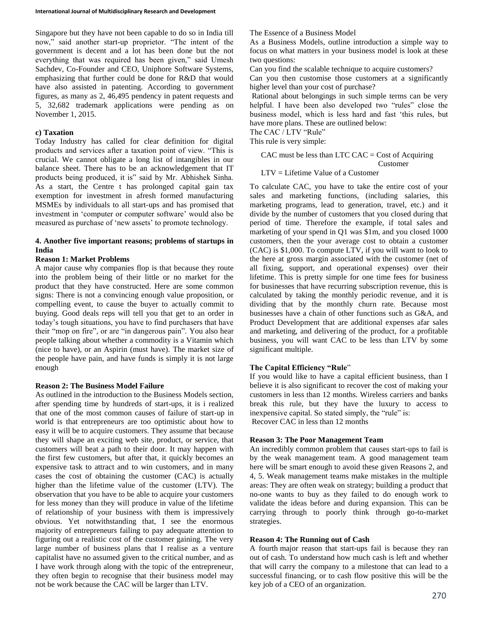Singapore but they have not been capable to do so in India till now," said another start-up proprietor. "The intent of the government is decent and a lot has been done but the not everything that was required has been given," said Umesh Sachdev, Co-Founder and CEO, Uniphore Software Systems, emphasizing that further could be done for R&D that would have also assisted in patenting. According to government figures, as many as 2, 46,495 pendency in patent requests and 5, 32,682 trademark applications were pending as on November 1, 2015.

## **c) Taxation**

Today Industry has called for clear definition for digital products and services after a taxation point of view. "This is crucial. We cannot obligate a long list of intangibles in our balance sheet. There has to be an acknowledgement that IT products being produced, it is" said by Mr. Abhishek Sinha. As a start, the Centre t has prolonged capital gain tax exemption for investment in afresh formed manufacturing MSMEs by individuals to all start-ups and has promised that investment in 'computer or computer software' would also be measured as purchase of 'new assets' to promote technology.

## **4. Another five important reasons; problems of startups in India**

## **Reason 1: Market Problems**

A major cause why companies flop is that because they route into the problem being of their little or no market for the product that they have constructed. Here are some common signs: There is not a convincing enough value proposition, or compelling event, to cause the buyer to actually commit to buying. Good deals reps will tell you that get to an order in today's tough situations, you have to find purchasers that have their "mop on fire", or are "in dangerous pain". You also hear people talking about whether a commodity is a Vitamin which (nice to have), or an Aspirin (must have). The market size of the people have pain, and have funds is simply it is not large enough

## **Reason 2: The Business Model Failure**

As outlined in the introduction to the Business Models section, after spending time by hundreds of start-ups, it is i realized that one of the most common causes of failure of start-up in world is that entrepreneurs are too optimistic about how to easy it will be to acquire customers. They assume that because they will shape an exciting web site, product, or service, that customers will beat a path to their door. It may happen with the first few customers, but after that, it quickly becomes an expensive task to attract and to win customers, and in many cases the cost of obtaining the customer (CAC) is actually higher than the lifetime value of the customer (LTV). The observation that you have to be able to acquire your customers for less money than they will produce in value of the lifetime of relationship of your business with them is impressively obvious. Yet notwithstanding that, I see the enormous majority of entrepreneurs failing to pay adequate attention to figuring out a realistic cost of the customer gaining. The very large number of business plans that I realise as a venture capitalist have no assumed given to the critical number, and as I have work through along with the topic of the entrepreneur, they often begin to recognise that their business model may not be work because the CAC will be larger than LTV.

The Essence of a Business Model

As a Business Models, outline introduction a simple way to focus on what matters in your business model is look at these two questions:

Can you find the scalable technique to acquire customers?

Can you then customise those customers at a significantly higher level than your cost of purchase?

Rational about belongings in such simple terms can be very helpful. I have been also developed two "rules" close the business model, which is less hard and fast 'this rules, but have more plans. These are outlined below:

The CAC / LTV "Rule"

This rule is very simple:

CAC must be less than LTC CAC = Cost of Acquiring Customer

LTV = Lifetime Value of a Customer

To calculate CAC, you have to take the entire cost of your sales and marketing functions, (including salaries, this marketing programs, lead to generation, travel, etc.) and it divide by the number of customers that you closed during that period of time. Therefore the example, if total sales and marketing of your spend in Q1 was \$1m, and you closed 1000 customers, then the your average cost to obtain a customer (CAC) is \$1,000. To compute LTV, if you will want to look to the here at gross margin associated with the customer (net of all fixing, support, and operational expenses) over their lifetime. This is pretty simple for one time fees for business for businesses that have recurring subscription revenue, this is calculated by taking the monthly periodic revenue, and it is dividing that by the monthly churn rate. Because most businesses have a chain of other functions such as G&A, and Product Development that are additional expenses afar sales and marketing, and delivering of the product, for a profitable business, you will want CAC to be less than LTV by some significant multiple.

# **The Capital Efficiency "Rule**"

If you would like to have a capital efficient business, than I believe it is also significant to recover the cost of making your customers in less than 12 months. Wireless carriers and banks break this rule, but they have the luxury to access to inexpensive capital. So stated simply, the "rule" is: Recover CAC in less than 12 months

# **Reason 3: The Poor Management Team**

An incredibly common problem that causes start-ups to fail is by the weak management team. A good management team here will be smart enough to avoid these given Reasons 2, and 4, 5. Weak management teams make mistakes in the multiple areas: They are often weak on strategy; building a product that no-one wants to buy as they failed to do enough work to validate the ideas before and during expansion. This can be carrying through to poorly think through go-to-market strategies.

## **Reason 4: The Running out of Cash**

A fourth major reason that start-ups fail is because they ran out of cash. To understand how much cash is left and whether that will carry the company to a milestone that can lead to a successful financing, or to cash flow positive this will be the key job of a CEO of an organization.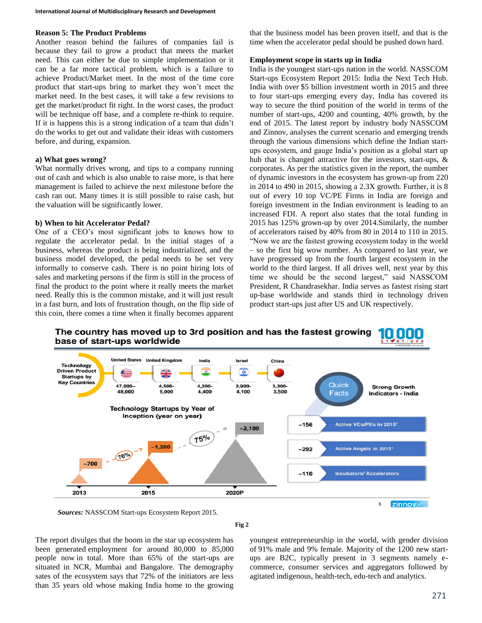#### **Reason 5: The Product Problems**

Another reason behind the failures of companies fail is because they fail to grow a product that meets the market need. This can either be due to simple implementation or it can be a far more tactical problem, which is a failure to achieve Product/Market meet. In the most of the time core product that start-ups bring to market they won't meet the market need. In the best cases, it will take a few revisions to get the market/product fit right. In the worst cases, the product will be technique off base, and a complete re-think to require. If it is happens this is a strong indication of a team that didn't do the works to get out and validate their ideas with customers before, and during, expansion.

### **a) What goes wrong?**

What normally drives wrong, and tips to a company running out of cash and which is also unable to raise more, is that here management is failed to achieve the next milestone before the cash ran out. Many times it is still possible to raise cash, but the valuation will be significantly lower.

### **b) When to hit Accelerator Pedal?**

One of a CEO's most significant jobs to knows how to regulate the accelerator pedal. In the initial stages of a business, whereas the product is being industrialized, and the business model developed, the pedal needs to be set very informally to conserve cash. There is no point hiring lots of sales and marketing persons if the firm is still in the process of final the product to the point where it really meets the market need. Really this is the common mistake, and it will just result in a fast burn, and lots of frustration though, on the flip side of this coin, there comes a time when it finally becomes apparent

that the business model has been proven itself, and that is the time when the accelerator pedal should be pushed down hard.

#### **Employment scope in starts up in India**

India is the youngest start-ups nation in the world. NASSCOM Start-ups Ecosystem Report 2015: India the Next Tech Hub. India with over \$5 billion investment worth in 2015 and three to four start-ups emerging every day, India has covered its way to secure the third position of the world in terms of the number of start-ups, 4200 and counting, 40% growth, by the end of 2015. The latest report by industry body NASSCOM and Zinnov, analyses the current scenario and emerging trends through the various dimensions which define the Indian startups ecosystem, and gauge India's position as a global start up hub that is changed attractive for the investors, start-ups, & corporates. As per the statistics given in the report, the number of dynamic investors in the ecosystem has grown-up from 220 in 2014 to 490 in 2015, showing a 2.3X growth. Further, it is 8 out of every 10 top VC/PE Firms in India are foreign and foreign investment in the Indian environment is leading to an increased FDI. A report also states that the total funding in 2015 has 125% grown-up by over 2014.Similarly, the number of accelerators raised by 40% from 80 in 2014 to 110 in 2015. "Now we are the fastest growing ecosystem today in the world – so the first big wow number. As compared to last year, we have progressed up from the fourth largest ecosystem in the world to the third largest. If all drives well, next year by this time we should be the second largest," said NASSCOM President, R Chandrasekhar. India serves as fastest rising start up-base worldwide and stands third in technology driven product start-ups just after US and UK respectively.



*Sources:* NASSCOM Start-ups Ecosystem Report 2015.

**Fig 2**

The report divulges that the boom in the star up ecosystem has been generated employment for around 80,000 to 85,000 people now in total. More than 65% of the start-ups are situated in NCR, Mumbai and Bangalore. The demography sates of the ecosystem says that 72% of the initiators are less than 35 years old whose making India home to the growing

youngest entrepreneurship in the world, with gender division of 91% male and 9% female. Majority of the 1200 new startups are B2C, typically present in 3 segments namely ecommerce, consumer services and aggregators followed by agitated indigenous, health-tech, edu-tech and analytics.